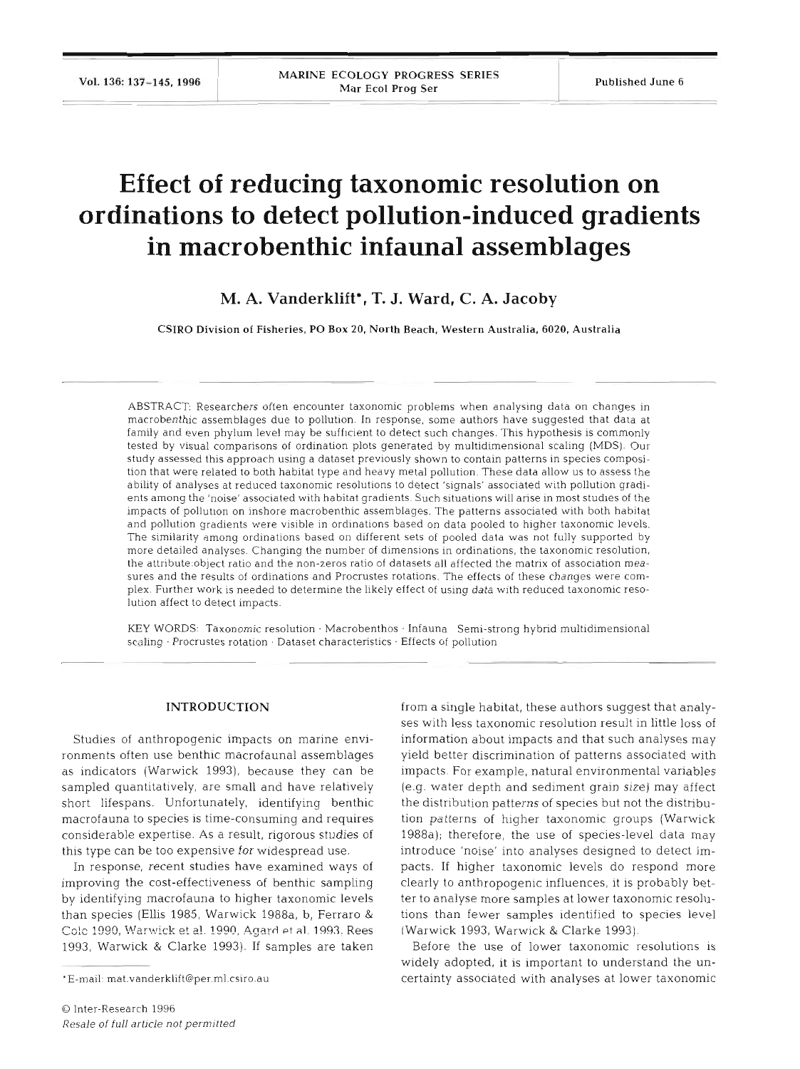# **Effect of reducing taxonomic resolution on ordinations to detect pollution-induced gradients in macrobenthic infaunal assemblages**

**M. A. Vanderklift\*, T. J. Ward, C. A. Jacoby** 

**CSIRO** Division of Fisheries, PO Box **20,** North Beach, Western Australia, **6020,** Australia

ABSTRACT: Researchers often encounter taxonomic problems when analysing data on changes in macrobenthic assemblages due to pollution. In response, some authors have suggested that data at famlly and even phylum level may be sufficient to detect such changes. This hypothesis is commonly tested by visual comparisons of ordination plots generated by multidimensional scaling (MDS). Our study assessed this approach using a dataset previously shown to contain patterns in species composition that were related to both habitat type and heavy metal pollution. These data allow us to assess the ability of analyses at reduced taxonomic resolutions to detect 'signals' associated with pollution gradients among the 'noise' associated with habitat gradients. Such situations will arise in most studies of the impacts of pollution on inshore macrobenthic assemblages. The patterns associated with both habitat and pollution gradients were visible in ordinations based on data pooled to higher taxonomic levels. The similarity among ordinations based on different sets of pooled data was not fully supported by more detailed analyses. Changing the number of dimensions in ordinations, the taxonomic resolution, the attribute:object ratio and the non-zeros ratio of datasets all affected the matrix of association measures and the results of ordinations and Procrustes rotations. The effects of these changes were complex. Further work is needed to determine the likely effect of using data with reduced taxonomic resolution affect to detect impacts.

KEY WORDS: Taxonomic resolution · Macrobenthos · Infauna Semi-strong hybrid multidimensional scaling · Procrustes rotation · Dataset characteristics · Effects of pollution

# **INTRODUCTION**

Studies of anthropogenic impacts on marine environments often use benthic macrofaunal assemblages as indicators (Warwick 1993), because they can be sampled quantitatively, are small and have relatively short lifespans. Unfortunately, identifying benthic macrofauna to species is time-consuming and requires considerable expertise. As a result, rigorous studies of this type can be too expensive for widespread use.

In response, recent studies have examined ways of improving the cost-effectiveness of benthic sampling by identifying macrofauna to higher taxonomic levels than species (Ellis 1985, Warwick 1988a, b, Ferraro & Colc 1990, Warwick et al. 1990, Agard et al. 1993. Rees 1993, Warwick & Clarke 1993). If samples are taken

from a single habitat, these authors suggest that analyses with less taxonomic resolution result in little loss of information about impacts and that such analyses may yield better discrimination of patterns associated with impacts. For example, natural environmental variables (e.g. water depth and sediment grain size) may affect the distribution patterns of species but not the distribution patterns of higher taxonomic groups (Warwick 1988a); therefore, the use of species-level data may introduce 'noise' into analyses designed to detect impacts. If higher taxonomic levels do respond more clearly to anthropogenic influences, it is probably better to analyse more samples at lower taxonomic resolutions than fewer samples identified to species level (Warwick 1993, Warwick & Clarke 1993).

Before the use of lower taxonomic resolutions is widely adopted, it is important to understand the uncertainty associated with analyses at lower taxonomic

E-mail: mat.vanderklift@per.ml.csiro.au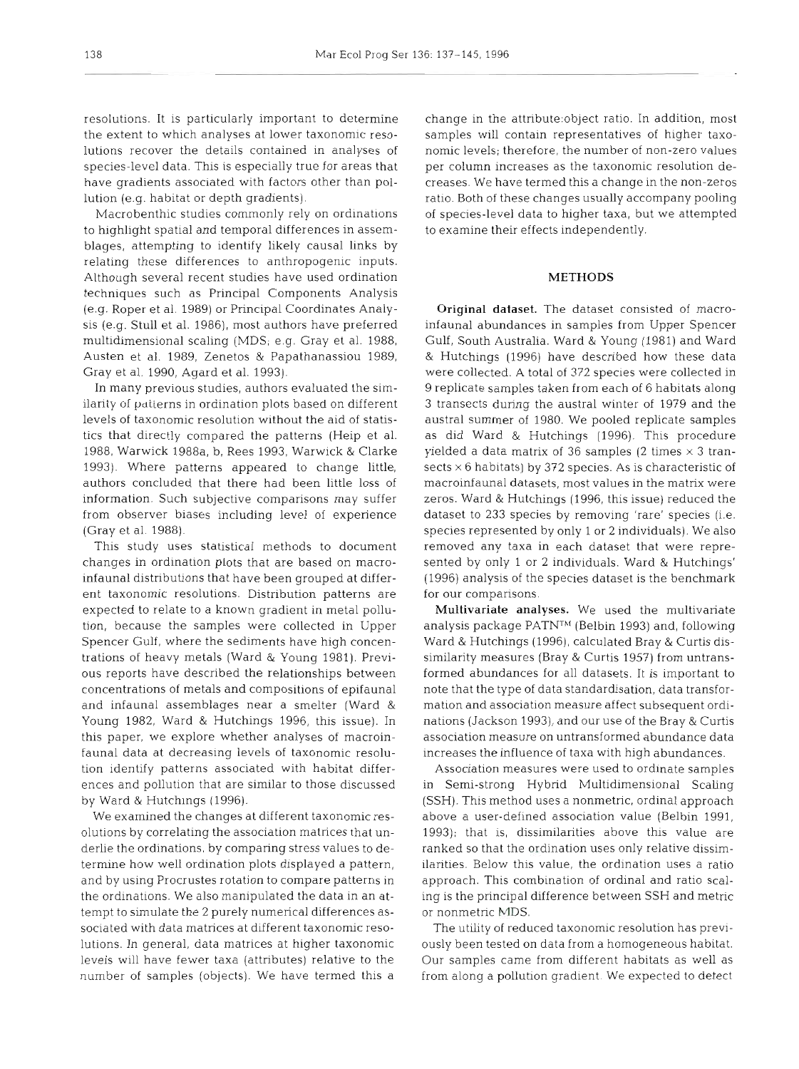resolutions. It is particularly important to determine the extent to which analyses at lower taxonomic resolutions recover the details contained in analyses of species-level data. This is especially true for areas that have gradients associated with factors other than pollution (e.g. habitat or depth gradients).

Macrobenthic studies commonly rely on ordinations to highlight spatial and temporal differences in assemblages, attempting to identify likely causal links by relating these differences to anthropogenic inputs. Although several recent studies have used ordination techniques such as Principal Components Analysis (e.g. Roper et al. 1989) or Principal Coordinates Analysis (e.g. Stull et al. 1986), most authors have preferred multidimensional scaling (MDS; e.g. Gray et al. 1988, Austen et al. 1989, Zenetos & Papathanassiou 1989, Gray et al. 1990, Agard et al. 1993).

In many previous studies, authors evaluated the similarity of patterns in ordination plots based on different levels of taxonomic resolution without the aid of statistics that directly compared the patterns (Heip et al. 1988, Warwick 1988a, b, Rees 1993, Warwick & Clarke 1993). Where patterns appeared to change little, authors concluded that there had been little loss of information. Such subjective comparisons may suffer from observer biases including level of experience (Gray et al. 1988).

This study uses statistical methods to document changes in ordination plots that are based on macroinfaunal distributions that have been grouped at different taxonomic resolutions. Distribution patterns are expected to relate to a known gradient in metal pollution, because the samples were collected in Upper Spencer Gulf, where the sediments have high concentrations of heavy metals (Ward & Young 1981). Previous reports have described the relationships between concentrations of metals and compositions of epifaunal and infaunal assemblages near a smelter (Ward & Young 1982, Ward & Hutchings 1996, this issue). In this paper, we explore whether analyses of macroinfauna1 data at decreasing levels of taxonomic resolution identify patterns associated with habitat differences and pollution that are similar to those discussed by Ward & Hutchings (1996).

We examined the changes at different taxonomic resolutions by correlating the association matrices that underlie the ordinations, by comparing stress values to determine how well ordination plots displayed a pattern, and by using Procrustes rotation to compare patterns in the ordinations. We also manipulated the data in an attempt to simulate the 2 purely numerical differences associated with data matrices at different taxonomic resolutions. In general, data matrices at higher taxonomic levels will have fewer taxa (attributes) relative to the number of samples (objects). We have termed this a

change in the attribute:object ratio. In addition, most samples will contain representatives of higher taxonomic levels; therefore, the number of non-zero values per column increases as the taxonomic resolution decreases. We have termed this a change in the non-zeros ratio. Both of these changes usually accompany pooling of species-level data to higher taxa, but we attempted to examine their effects independently.

# **METHODS**

Original dataset. The dataset consisted of macroinfaunal abundances in samples from Upper Spencer Gulf, South Australia. Ward & Young (1981) and Ward & Hutchings (1996) have described how these data were collected. A total of 372 species were collected in 9 replicate samples taken from each of 6 habitats along 3 transects during the austral winter of 1979 and the austral summer of 1980. We pooled replicate samples as did Ward & Hutchings (1996). This procedure yielded a data matrix of 36 samples (2 times  $\times$  3 transects  $\times$  6 habitats) by 372 species. As is characteristic of macroinfaunal datasets, most values in the matrix were zeros. Ward & Hutchings (1996, this issue) reduced the dataset to 233 species by removing 'rare' species (i.e. species represented by only 1 or 2 individuals). We also removed any taxa in each dataset that were represented by only 1 or 2 individuals. Ward & Hutchings' (1996) analysis of the species dataset is the benchmark for our comparisons.

Multivariate analyses. We used the multivariate analysis package PATN<sup>TM</sup> (Belbin 1993) and, following Ward & Hutchings (1996), calculated Bray & Curtis dissimilarity measures (Bray & Curtis 1957) from untransformed abundances for all datasets. It is important to note that the type of data standardisation, data transformation and association measure affect subsequent ordinations (Jackson 1993), and our use of the Bray & Curtis association measure on untransformed abundance data increases the influence of taxa with high abundances.

Association measures were used to ordinate samples in Semi-strong Hybrid Multidimensional Scaling (SSH). This method uses a nonmetric, ordinal approach above a user-defined association value (Belbin 1991, 1993); that is, dissimilarities above this value are ranked so that the ordination uses only relative dissimilarities. Below this value, the ordination uses a ratio approach. This combination of ordinal and ratio scaling is the principal difference between SSH and metric or nonmetric MDS.

The utility of reduced taxonomic resolution has previously been tested on data from a homogeneous habitat. Our samples came from different habitats as well as from along a pollution gradient. We expected to detect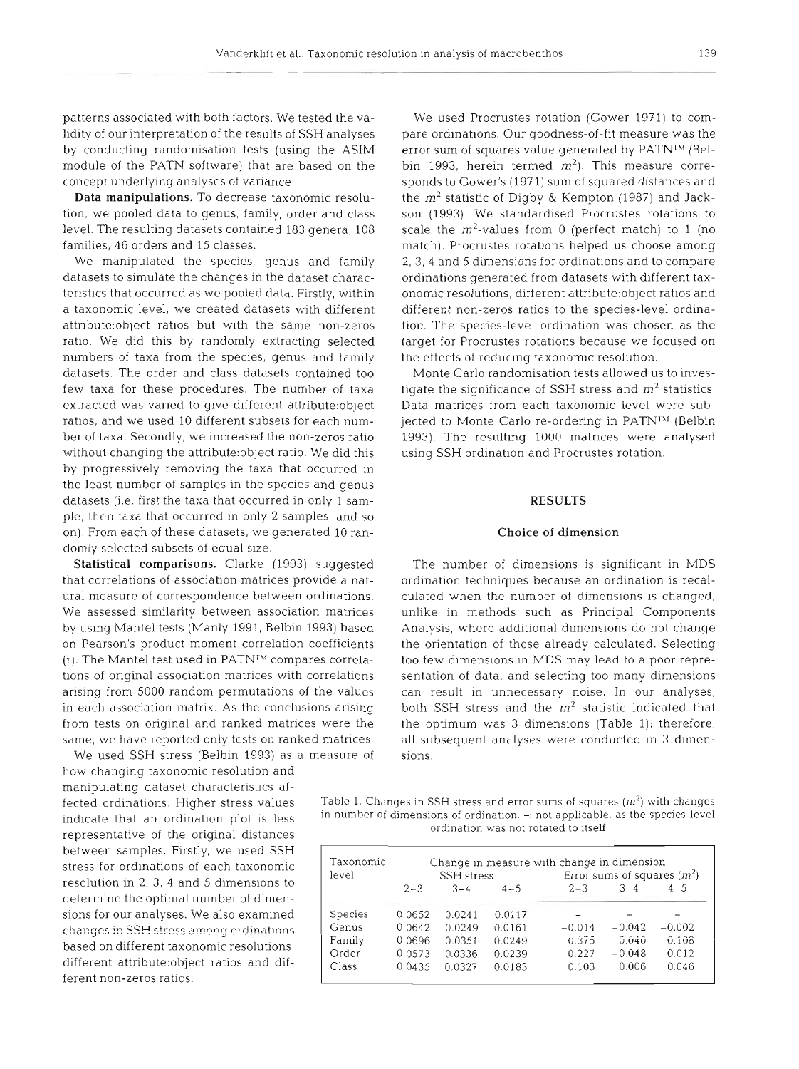lidity of our interpretation of the results of SSH analyses pare ordinations. Our goodness-of-fit measure was the by conducting randomisation tests (using the ASIM error sum of squares value generated by PATN<sup>IM</sup> (Belmodule of the PATN software) that are based on the bin 1993, herein termed  $m<sup>2</sup>$ . This measure correconcept underlying analyses of variance. sponds to Gower's (197 1) sum of squared distances and

numbers of taxa from the species, genus and family the effects of reducing taxonomic resolution. datasets. The order and class datasets contained too Monte Carlo randomisation tests allowed us to inveswithout changing the attribute:object ratio. We did this using SSH ordination and Procrustes rotation. by progressively removing the taxa that occurred in the least number of samples in the species and genus datasets (i.e. first the taxa that occurred in only 1 sam- **RESULTS**  ple, then taxa that occurred in only 2 samples, and so on). From each of these datasets, we generated 10 ran- **Choice** of dimension domly selected subsets of equal size.

We used SSH stress (Belbin 1993) as a measure of sions.

how changing taxonomic resolution and manipulating dataset characteristics afbetween samples. Firstly, we used SSH stress for ordinations of each taxonomic resolution in 2, 3, 4 and 5 dimensions to determine the optimal number of dimensions for our analyses. We also examined ferent non-zeros ratios. changes in SSH stress among ordinations based on different taxonomic resolutions, different attribute:object ratios and dif-

patterns associated with both factors. We tested the va- We used Procrustes rotation (Gower 1971) to com-**Data manipulations.** To decrease taxonomic resolu-<br>the  $m^2$  statistic of Digby & Kempton (1987) and Jacktion, we pooled data to genus, family, order and class son (1993). We standardised Procrustes rotations to level. The resulting datasets contained 183 genera, 108 scale the  $m^2$ -values from 0 (perfect match) to 1 (no families, 46 orders and 15 classes. The match). Procrustes rotations helped us choose among We manipulated the species, genus and family 2, 3, 4 and 5 dimensions for ordinations and to compare datasets to simulate the changes in the dataset charac- ordinations generated from datasets with different taxteristics that occurred as we pooled data. Firstly, within onomic resolutions, different attribute:object ratios and a taxonomic level, we created datasets with different different non-zeros ratios to the species-level ordinaattribute.object ratios but with the same non-zeros tion. The species-level ordination was chosen as the ratio. We did this by randomly extracting selected target for Procrustes rotations because we focused on

few taxa for these procedures. The number of taxa tigate the significance of SSH stress and  $m<sup>2</sup>$  statistics. extracted was varied to give different attribute:object Data matrices from each taxonomic level were subratios, and we used 10 different subsets for each num- jected to Monte Carlo re-ordering in PATN<sup>1M</sup> (Belbin ber of taxa. Secondly, we increased the non-zeros ratio 1993). The resulting 1000 matrices were analysed

Statistical comparisons. Clarke (1993) suggested The number of dimensions is significant in MDS that correlations of association matrices provide a nat- ordination techniques because an ordination is recalural measure of correspondence between ordinations. culated when the number of dimensions is changed, We assessed similarity between association matrices unlike in methods such as Principal Components by using Mantel tests (Manly 1991, Belbin 1993) based Analysis, where additional dimensions do not change on Pearson's product moment correlation coefficients the orientation of those already calculated. Selecting  $(r)$ . The Mantel test used in PATN<sup> $M$ </sup> compares correla- too few dimensions in MDS may lead to a poor repretions of original association matrices with correlations sentation of data, and selecting too many dimensions arising from 5000 random permutations of the values can result in unnecessary noise. In our analyses, in each association matrix. As the conclusions arising both SSH stress and the  $m<sup>2</sup>$  statistic indicated that from tests on original and ranked matrices were the the optimum was 3 dimensions (Table 1); therefore, same, we have reported only tests on ranked matrices. all subsequent analyses were conducted in 3 dimen-

fected ordinations. Higher stress values Table 1. Changes in SSH stress and error sums of squares *(m2)* with changes in number of dimensions of ordination. -: not applicable, as the species-level<br>representative of the original distances<br>ordination was not rotated to itself

| Taxonomic<br>level | SSH stress |         |         | Change in measure with change in dimension<br>Error sums of squares $(m^2)$ |          |          |
|--------------------|------------|---------|---------|-----------------------------------------------------------------------------|----------|----------|
|                    | $2 - 3$    | $3 - 4$ | $4 - 5$ | $2 - 3$                                                                     | $3 - 4$  | $4 - 5$  |
| <b>Species</b>     | 0.0652     | 0.0241  | 0.0117  |                                                                             |          |          |
| Genus              | 0.0642     | 0.0249  | 0.0161  | $-0.014$                                                                    | $-0.042$ | $-0.002$ |
| Family             | 0.0696     | 0.0351  | 0.0249  | 0.375                                                                       | 0.040    | $-0.108$ |
| Order              | 0.0573     | 0.0336  | 0.0239  | 0.227                                                                       | $-0.048$ | 0.012    |
| Class              | 0.0435     | 0.0327  | 0.0183  | 0.103                                                                       | 0.006    | 0.046    |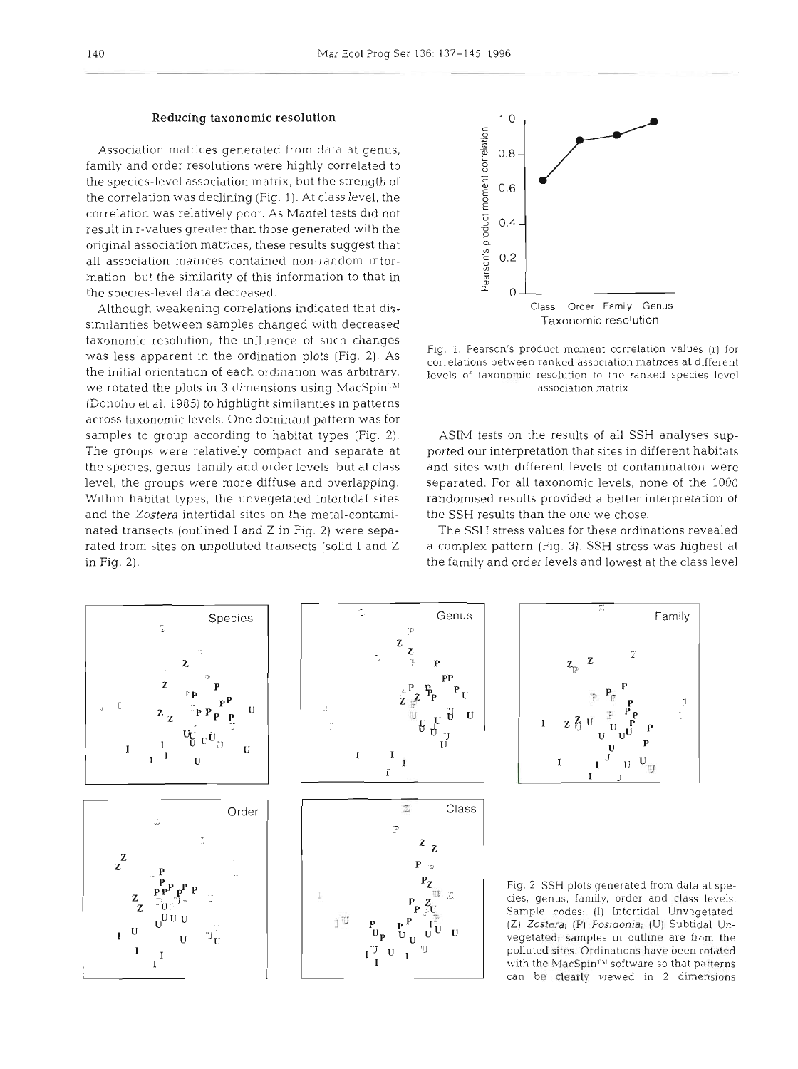### Reducing taxonomic resolution

Association matrices generated from data at genus, family and order resolutions were highly correlated to the species-level association matrix, but the strength of the correlation was declining (Fig. 1). At class level, the correlation was relatively poor. As Mantel tests did not result in r-values greater than those generated with the original association matrices, these results suggest that all association matrices contained non-random information, but the similarity of this information to that in the species-level data decreased.

Although weakening correlations indicated that dissimilarities between samples changed with decreased taxonomic resolution, the influence of such changes was less apparent in the ordination plots (Fig. 2). As the initial orientation of each ordination was arbitrary, we rotated the plots in 3 dimensions using MacSpin<sup>TM</sup> (Donoho et al. 1985) to highlight similanties in patterns across taxonomic levels. One dominant pattern was for samples to group according to habitat types (Fig. 2). The groups were relatively compact and separate at the species, genus, family and order levels, but at class level, the groups were more diffuse and overlapping. Within habitat types, the unvegetated intertidal sites and the Zostera intertidal sites on the metal-contaminated transects (outlined I and Z in Fig. 2) were separated from sites on unpolluted transects (solid I and Z in Fig. 2).



Fig. 1. Pearson's product moment correlation values (r) for correlations between ranked association matrices at different levels of taxonomic resolution to the ranked species level association matrix

ASIM tests on the results of all SSH analyses supported our interpretation that sites in different habitats and sites with different levels ol contamination were separated. For all taxonomic levels, none of the 1000 randomised results provided a better interpretation of the SSH results than the one we chose.

The SSH stress values for these ordinations revealed a complex pattern (Fig. **3).** SSH stress was highest at the family and order levels and lowest at the class level

Genus

 $\begin{bmatrix} P_p & P_{U} \end{bmatrix}$ 

U

Class

 $\cdot$ 

U





Fig. 2. SSH plots generated from data at species, genus, family, order and class levels. Sample codes: (I) Intertidal Unvegetated; (Z) Zostera; (P) *Posidonia;* (U) Subtidal Unvegetated; samples in outline are from the polluted sites. Ordinations have been rotated with the MacSpin<sup>TM</sup> software so that patterns can be clearly vlewed in 2 dimensions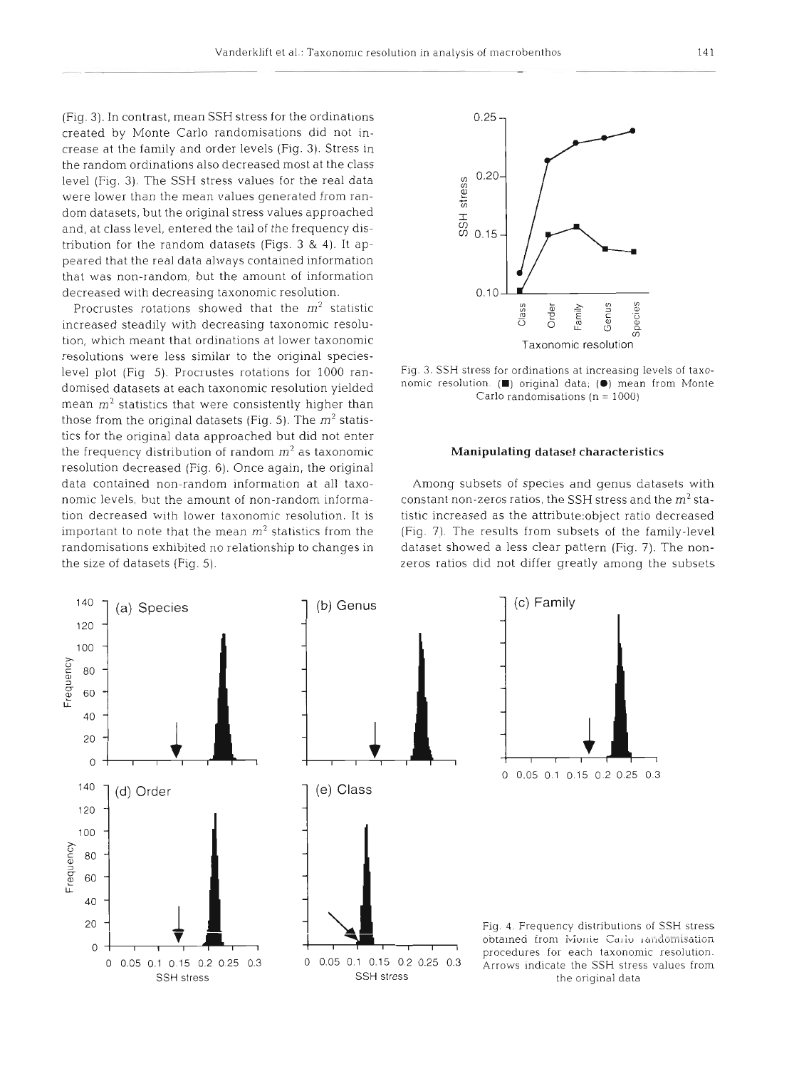(Fig. 3). In contrast, mean SSH stress for the ordinations created by Monte Carlo randomisations did not increase at the family and order levels (Fig. **3).** Stress in the random ordinations also decreased most at the class level (Fig. 3). The SSH stress values for the real data were lower than the mean values generated from random datasets, but the original stress values approached and, at class level, entered the tall of the frequency distribution for the random datasets (Figs. 3 & 4). It appeared that the real data always contained information that was non-random, but the amount of information decreased with decreasing taxonomic resolution.

Procrustes rotations showed that the **m2** statistic increased steadily with decreasing taxonomic resolution, which meant that ordinations at lower taxonomic resolutions were less similar to the original specieslevel plot (Fig 5). Procrustes rotations for 1000 randomised datasets at each taxonomic resolution yielded mean  $m<sup>2</sup>$  statistics that were consistently higher than those from the original datasets (Fig. 5). The  $m^2$  statistics for the original data approached but did not enter the frequency distribution of random  $m^2$  as taxonomic resolution decreased (Fig. 6). Once again, the original data contained non-random information at all taxonomic levels, but the amount of non-random information decreased with lower taxonomic resolution. It is important to note that the mean **m2** statistics from the randomisations exhibited no relationship to changes in the size of datasets (Fig. 5).



Fig. *3.* SSH stress for ordinations at increasing levels of taxonomic I-esolut~on **(W)** original data; **(m)** mean from Monte Carlo randomisations (n = 1000)

### Manipulating dataset characteristics

Among subsets of species and genus datasets with constant non-zeros ratios, the SSH stress and the **m2** statistic increased as the attribute:object ratio decreased (Fig. 7). The results from subsets of the family-level dataset showed a less clear pattern (Fig. 7). The nonzeros ratios did not differ greatly among the subsets

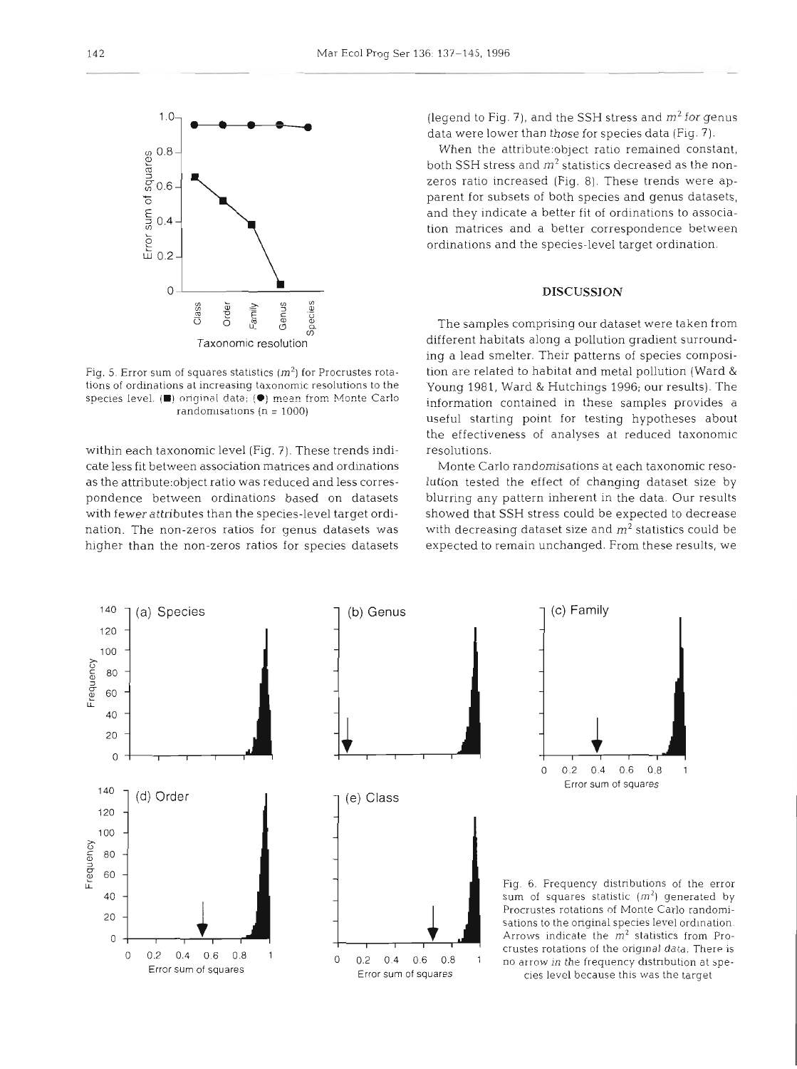

Fig. 5. Error sum of squares statistics  $(m^2)$  for Procrustes rotations of ordinations at increasing taxonomic resolutions to the species level. ( $\blacksquare$ ) original data; ( $\spadesuit$ ) mean from Monte Carlo randomisations ( $n = 1000$ )

within each taxonomic level (Fig, 7). These trends indicate less fit between association matrices and ordinations as the attribute:object ratio was reduced and less correspondence between ordinations based on datasets with fewer attributes than the species-level target ordination. The non-zeros ratios for genus datasets was higher than the non-zeros ratios for species datasets

(legend to Fig. 7), and the SSH stress and  $m^2$  for genus data were lower than those for species data (Fig. 7).

When the attribute:object ratio remained constant, both SSH stress and  $m^2$  statistics decreased as the nonzeros ratio increased (Fig. 8). These trends were apparent for subsets of both species and genus datasets, and they indicate a better fit of ordinations to association matrices and, a better correspondence between ordinations and the species-level target ordination.

# **DISCUSSION**

The samples comprising our dataset were taken from different habitats along a pollution gradient surrounding a lead smelter. Their patterns of species composition are related to habitat and metal pollution (Ward & Young 1981, Ward & Hutchings 1996; our results). The information contained in these samples provides a useful starting point for testing hypotheses about the effectiveness of analyses at reduced taxonomic resolutions.

Monte Carlo randomlsations at each taxonomic resolution tested the effect of changing dataset size by blurring any pattern inherent in the data. Our results showed that SSH stress could be expected to decrease with decreasing dataset size and  $m<sup>2</sup>$  statistics could be expected to remain unchanged. From these results, we

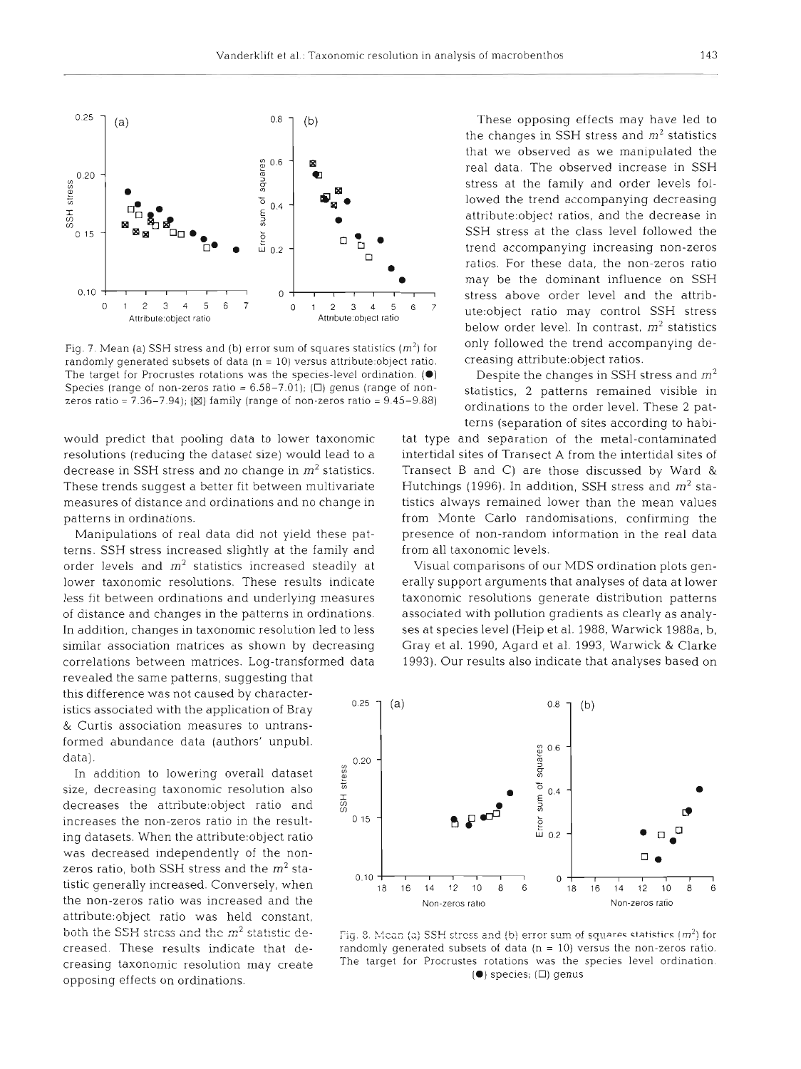

Fig. 7. Mean (a) SSH stress and (b) error sum of squares statistics  $(m^2)$  for only followed the trend accompanying de-<br>randomly generated subsets of data (n = 10) versus attribute:object ratio. creasing attribute:object randomly generated subsets of data (n = 10) versus attribute:object ratio. creasing attribute:object ratios.<br>The target for Procrustes rotations was the species-level ordination. (•) Despite the changes in SSH stress and The target for Procrustes rotations was the species-level ordination. ( $\bullet$ ) Despite the changes in SSH stress and  $m^2$  Species (range of non-zeros ratio = 6.58–7.01); ( $\square$ ) genus (range of non-<br>statistics, 2 patterns r Species (range of non-zeros ratio =  $6.58-7.01$ ); ( $\square$ ) genus (range of nonzeros ratio - 7.36-7.94); (B] family (range of non-zeros ratio = 9.45-9.88) ordinations to the order level. These 2 pat-

resolutions (reducing the dataset size) would lead to a intertidal sites of Transect A from the intertidal sites of decrease in SSH stress and no change in *m2* statistics. Transect *B* and C) are those discussed by Ward & These trends suggest a better fit between multivariate Hutchings (1996). In addition, SSH stress and *m2* stameasures of distance and ordinations and no change in tistics always remained lower than the mean values patterns in ordinations. The same state of the Monte Carlo randomisations, confirming the patterns in ordinations.

terns. SSH stress increased slightly at the family and from all taxonomic levels. order levels and  $m^2$  statistics increased steadily at Visual comparisons of our MDS ordination plots gen-

revealed the same patterns, suggesting that this difference was not caused by characteristics associated with the application of Bray **0.25** - & Curtis association measures to untransformed abundance data (authors' unpubl. data). **0.20** -

In addition to lowering overall dataset size, decreasing taxonomic resolution also decreases the attribute:object ratio and increases the non-zeros ratio in the result- 0<sup>15</sup> ing datasets. When the attribute:object ratio was decreased independently of the nonattnbute:object ratio was held constant, both the SSH stress and the  $m^2$  statistic de-<br>Fig. 8. Mean (a) SSH stress and (b) error sum of squares statistics  $(m^2)$  for

These opposing effects may have led to the changes in SSH stress and  $m<sup>2</sup>$  statistics that we observed as we manipulated the **<sup>a</sup>**real data. The observed increase in SSH stress at the family and order levels followed the trend accompanying decreasing attribute:object ratios, and the decrease in SSH stress at the class level followed the  $\Box$   $\Box$   $\blacksquare$ <sup>a</sup>ratios. For these data, the non-zeros ratio may be the dominant influence on SSH stress above order level and the attrib- $\frac{1}{2}$   $\frac{2}{3}$   $\frac{3}{4}$   $\frac{4}{5}$   $\frac{5}{6}$   $\frac{7}{10}$  ute:object ratio may control SSH stress below order level. In contrast, *m2* statistics

terns (separation of sites according to habi-

would predict that pooling data to lower taxonomic tat type and separation of the metal-contaminated Manipulations of real data did not yield these pat- presence of non-random information in the real data

lower taxonomic resolutions. These results indicate erally support arguments that analyses of data at lower less fit between ordinations and underlying measures taxonomic resolutions generate distribution patterns of distance and changes in the patterns in ordinations. associated with pollution gradients as clearly as analy-In addition, changes in taxonomic resolution led to less ses at species level (Heip et al. 1988, Warwick 1988a, b, similar association matrices as shown by decreasing Gray et al. 1990, Agard et al. 1993, Warwick & Clarke correlations between matrices. Log-transformed data 1993). Our results also indicate that analyses based on



creased. These results indicate that de- randomly generated subsets of data (n = 10) versus the non-zeros ratio. creasing taxonomic resolution may create The target for Procrustes rotations was the species level ordination.<br> **(** $\bullet$ ) species; ( $\Box$ ) genus opposing effects on ordinations.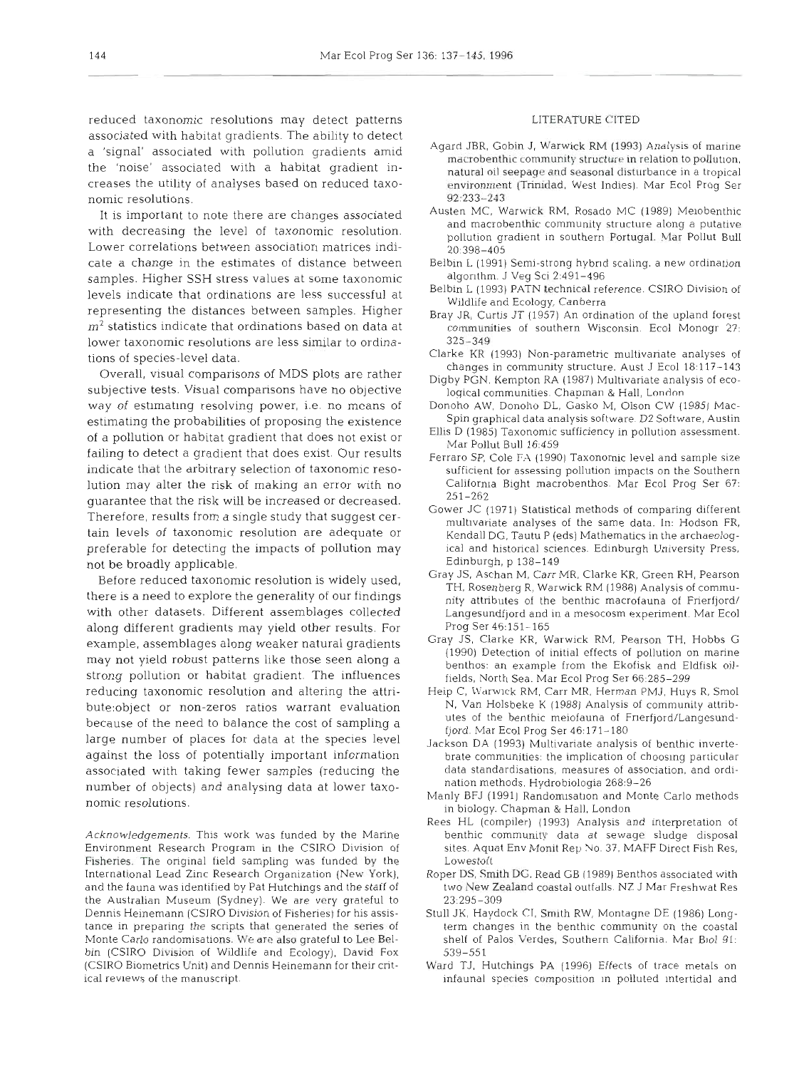reduced taxonomic resolutions may detect patterns associated with habitat gradients. The ability to detect <sup>a</sup>'signal' associated with pollution gradients amid the 'noise' associated with a habitat gradient increases the utility of analyses based on reduced taxonomic resolutions.

It is important to note there are changes associated with decreasing the level of taxonomic resolution. Lower correlations between association matrices indicate a change in the estimates of distance between samples. Higher SSH stress values at some taxonomic levels indicate that ordinations are less successful at representing the distances between samples. Higher  $m<sup>2</sup>$  statistics indicate that ordinations based on data at lower taxonomic resolutions are less similar to ordinations of species-level data.

Overall, visual comparisons of MDS plots are rather subjective tests. Visual comparisons have no objective way of estimating resolving power, i.e. no means of estimating the probabilities of proposing the existence of a pollution or habitat gradient that does not exist or failing to detect a gradient that does exist. Our results indicate that the arbitrary selection of taxonomic resolution may alter the risk of making an error with no guarantee that the risk will be increased or decreased. Therefore, results from a single study that suggest certain levels of taxonomic resolution are adequate or preferable for detecting the impacts of pollution may not be broadly applicable.

Before reduced taxonomic resolution is widely used, there is a need to explore the generality of our findings with other datasets. Different assemblages collected along different gradients may yield other results. For example, assemblages along weaker natural gradients may not yield robust patterns like those seen along a strong pollution or habitat gradient. The influences reducing taxonomic resolution and altering the attribute:object or non-zeros ratios warrant evaluation because of the need to balance the cost of sampling a large number of places for data at the species level against the loss of potentially important information associated with taking fewer samples (reducing the number of objects) and analysing data at lower taxonomic resolutions.

Acknowledgements. This work was funded by the Marine Environment Research Program in the CSIRO Division of Fisheries. The original field sampling was funded by the International Lead Zinc Research Organization (New York), and the fauna was identified by Pat Hutchings and the staff of the Australian Museum (Sydney). We are very grateful to Dennis Heinemann (CSJRO Division of Fisheries) for his assistance in preparing the scripts that generated the series of Monte Carlo randomisations. We are also grateful to Lee Belbin (CSIRO Division of Wildlife and Ecology), David Fox (CSIRO Biometrics Unit) and Dennis Heinemann for their critical reviews of the manuscript.

### LIERATURE CITED

- Agard JBR, Gobin J, Warwick RM (1993) Analysis of marine macrobenthic community structure in relation to pollution, natural oil seepage and seasonal disturbance in a tropical environment (Trinidad, West Indies). Mar Ecol Prog Ser 92:233-243
- Austen IMC, Warwick RM, Rosado MC (1989) Meiobenthic and macrobenthic community structure along a putative pollution gradient in southern Portugal. Mar Pollut Bull 20:398-405
- Belbin L (1991) Semi-strong hybrid scaling, a new ordination algonthm. J Veg Sci 2:491-496
- Belbin L (1993) PATN technical reference. CSIRO Division of Wildlife and Ecology, Canberra
- Bray JR, Curtis JT (1957) An ordination of the upland forest communities of southern Wisconsin. Ecol Monogr 27: 325-349
- Clarke KR (1993) Non-parametric multivariate analyses of changes in community structure. Aust J Ecol 18:117-143
- Digby PGN. Kempton RA (1987) Multivariate analysis of ecological communities. Chapman & Hall, London
- Donoho AW, Donoho DL, Gasko M, Olson CW (1985) Mac-Spin graphical data analysis software. D2 Software, Austin
- EUis D (1985) Taxonomic sufficiency in pollution assessment. Mar Pollut Bull 16.459
- Ferraro SP, Cole FA (1990) Taxonomic level and sample size sufficient for assessing pollution impacts on the Southern California Bight macrobenthos. Mar Ecol Prog Ser 67: 251-262
- Gower JC (1971) Statistical methods of comparing different multivariate analyses of the same data. In: Hodson FR, Kendall DG. Tautu P (eds) Mathematics in the archaeological and historical sciences. Edinburgh University Press, Edinburgh, p 138-149
- Gray JS, Aschan M, Carr MR. Clarke KR, Green RH, Pearson TH, Rosenberg R, Warwick RM (1988) Analysis of community attributes of the benthic macrofauna of Frierfjord/ Langesundfjord and in a mesocosm experiment. Mar Ecol Prog Ser 46:153.-165
- Gray JS, Clarke KR. Warwick RM. Pearson TH, Hobbs G (1990) Detection of initial effects of pollution on marine benthos: an example from the Ekofisk and Eldfisk oilfields, North Sea. Mar Ecol Prog Ser 66:285-299
- Heip C, Warwick RM, Carr MR, Herman PMJ, Huys R, Smol N, Van Holsbeke K (1988) Analysis of community attributes of the benthic meiofauna of Fnerfjord/Langesundfjord. Mar Ecol Prog Ser 46:171-180
- Jackson DA (1993) Multivariate analysis of benthic invertebrate communities: the implication of choosing particular data standardisations, measures of association, and ordination methods. Hydrobiologia 268:9-26
- Manly BFJ (1991) Randomisation and Monte Carlo methods in biology. Chapman & Hall, London
- Rees HL (compiler) (1993) Analysis and interpretation of benthic community data at sewage sludge disposal sites. Aquat Env Monit Rep No. 37, MAFF Direct Fish Res, Lowestoft
- Roper DS, Smith DG, Read GB (1989) Benthos associated with two New Zealand coastal outfalls. NZ J Mar Freshwat Res 23:295-309
- Stull JK, Haydock **CT,** Smith RW, Montagne DE (1986) Longterm changes in the benthic community on the coastal shelf of Palos Verdes, Southern California. Mar B101 91: 539-551
- Ward TJ, Hutchings PA (1996) Effects of trace metals on infaunal species composition in polluted intertidal and